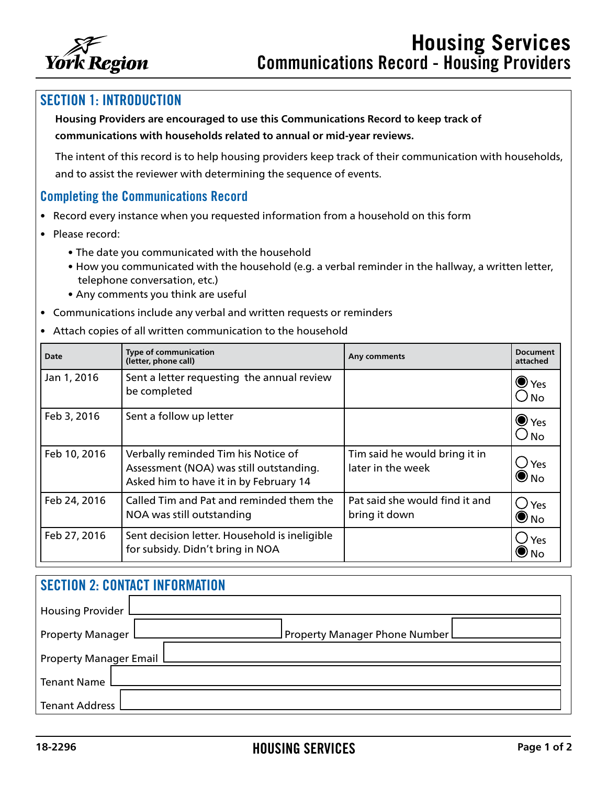

## SECTION 1: INTRODUCTION

**Housing Providers are encouraged to use this Communications Record to keep track of communications with households related to annual or mid-year reviews.** 

The intent of this record is to help housing providers keep track of their communication with households, and to assist the reviewer with determining the sequence of events.

## Completing the Communications Record

- Record every instance when you requested information from a household on this form
- Please record:
	- The date you communicated with the household
	- How you communicated with the household (e.g. a verbal reminder in the hallway, a written letter, telephone conversation, etc.)
	- Any comments you think are useful
- Communications include any verbal and written requests or reminders
- Attach copies of all written communication to the household

| <b>Date</b>  | <b>Type of communication</b><br>(letter, phone call)                                                                     | Any comments                                       | <b>Document</b><br>attached    |
|--------------|--------------------------------------------------------------------------------------------------------------------------|----------------------------------------------------|--------------------------------|
| Jan 1, 2016  | Sent a letter requesting the annual review<br>be completed                                                               |                                                    | $\bullet$ Yes<br>$\bigcirc$ No |
| Feb 3, 2016  | Sent a follow up letter                                                                                                  |                                                    | $\bullet$ Yes<br>$\cup$ No     |
| Feb 10, 2016 | Verbally reminded Tim his Notice of<br>Assessment (NOA) was still outstanding.<br>Asked him to have it in by February 14 | Tim said he would bring it in<br>later in the week | ∪ Yes<br>$\bigcirc$ No         |
| Feb 24, 2016 | Called Tim and Pat and reminded them the<br>NOA was still outstanding                                                    | Pat said she would find it and<br>bring it down    | $\bigcup$ Yes<br>$\bigcirc$ No |
| Feb 27, 2016 | Sent decision letter. Household is ineligible<br>for subsidy. Didn't bring in NOA                                        |                                                    | $\bigcup$ Yes<br>U No          |

| <b>SECTION 2: CONTACT INFORMATION</b> |                                 |  |  |
|---------------------------------------|---------------------------------|--|--|
| <b>Housing Provider</b>               |                                 |  |  |
| <b>Property Manager</b>               | Property Manager Phone Number L |  |  |
| <b>Property Manager Email</b>         |                                 |  |  |
| <b>Tenant Name</b>                    |                                 |  |  |
| <b>Tenant Address</b>                 |                                 |  |  |